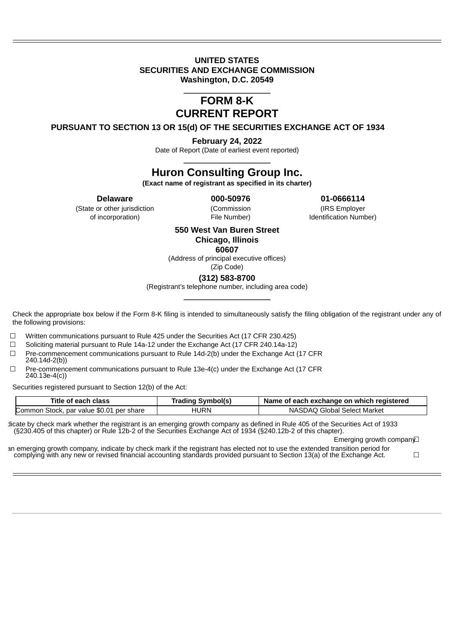## **UNITED STATES SECURITIES AND EXCHANGE COMMISSION Washington, D.C. 20549**

 $\_$ 

## **FORM 8-K CURRENT REPORT**

**PURSUANT TO SECTION 13 OR 15(d) OF THE SECURITIES EXCHANGE ACT OF 1934**

**February 24, 2022**

Date of Report (Date of earliest event reported) \_\_\_\_\_\_\_\_\_\_\_\_\_\_\_\_\_\_\_\_\_

# **Huron Consulting Group Inc.**

**(Exact name of registrant as specified in its charter)**

(State or other jurisdiction (Commission (IRS Employer

**Delaware 000-50976 01-0666114**

of incorporation) File Number) Identification Number)

## **550 West Van Buren Street Chicago, Illinois**

**60607**

(Address of principal executive offices) (Zip Code)

**(312) 583-8700**

(Registrant's telephone number, including area code) \_\_\_\_\_\_\_\_\_\_\_\_\_\_\_\_\_\_\_\_\_

Check the appropriate box below if the Form 8-K filing is intended to simultaneously satisfy the filing obligation of the registrant under any of the following provisions:

☐ Written communications pursuant to Rule 425 under the Securities Act (17 CFR 230.425)

☐ Soliciting material pursuant to Rule 14a-12 under the Exchange Act (17 CFR 240.14a-12)

 $\Box$  Pre-commencement communications pursuant to Rule 14d-2(b) under the Exchange Act (17 CFR 240.14d-2(b))

☐ Pre-commencement communications pursuant to Rule 13e-4(c) under the Exchange Act (17 CFR 240.13e-4(c))

Securities registered pursuant to Section 12(b) of the Act:

| Title of each class                      | <b>Trading Symbol(s)</b> | Name of each exchange on which registered |  |  |  |  |  |
|------------------------------------------|--------------------------|-------------------------------------------|--|--|--|--|--|
| Common Stock, par value \$0.01 per share | HURN                     | NASDAO Global Select Market               |  |  |  |  |  |

dicate by check mark whether the registrant is an emerging growth company as defined in Rule 405 of the Securities Act of 1933 (§230.405 of this chapter) or Rule 12b-2 of the Securities Exchange Act of 1934 (§240.12b-2 of this chapter).

Emerging growth compan√

an emerging growth company, indicate by check mark if the registrant has elected not to use the extended transition period for complying with any new or revised financial accounting standards provided pursuant to Section 13(a) of the Exchange Act. ☐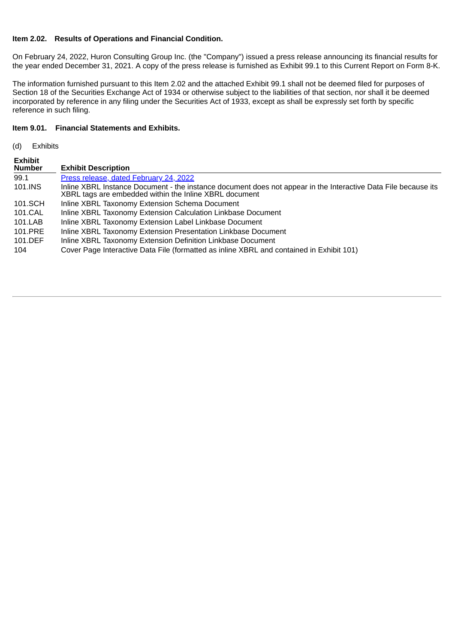## **Item 2.02. Results of Operations and Financial Condition.**

On February 24, 2022, Huron Consulting Group Inc. (the "Company") issued a press release announcing its financial results for the year ended December 31, 2021. A copy of the press release is furnished as Exhibit 99.1 to this Current Report on Form 8-K.

The information furnished pursuant to this Item 2.02 and the attached Exhibit 99.1 shall not be deemed filed for purposes of Section 18 of the Securities Exchange Act of 1934 or otherwise subject to the liabilities of that section, nor shall it be deemed incorporated by reference in any filing under the Securities Act of 1933, except as shall be expressly set forth by specific reference in such filing.

## **Item 9.01. Financial Statements and Exhibits.**

(d) Exhibits

**Exhibit**

| Exhibit<br><b>Number</b> | <b>Exhibit Description</b>                                                                                                                                               |
|--------------------------|--------------------------------------------------------------------------------------------------------------------------------------------------------------------------|
| 99.1                     | Press release, dated February 24, 2022                                                                                                                                   |
| 101.INS                  | Inline XBRL Instance Document - the instance document does not appear in the Interactive Data File because its<br>XBRL tags are embedded within the Inline XBRL document |
| 101.SCH                  | Inline XBRL Taxonomy Extension Schema Document                                                                                                                           |
| 101.CAL                  | Inline XBRL Taxonomy Extension Calculation Linkbase Document                                                                                                             |
| 101.LAB                  | Inline XBRL Taxonomy Extension Label Linkbase Document                                                                                                                   |
| 101.PRE                  | Inline XBRL Taxonomy Extension Presentation Linkbase Document                                                                                                            |
| 101.DEF                  | Inline XBRL Taxonomy Extension Definition Linkbase Document                                                                                                              |
| 104                      | Cover Page Interactive Data File (formatted as inline XBRL and contained in Exhibit 101)                                                                                 |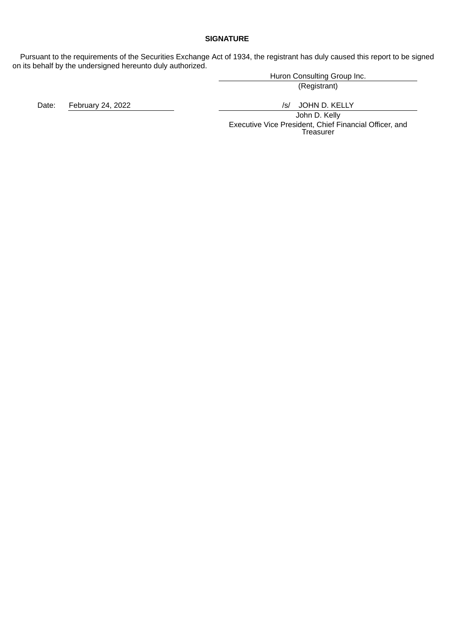## **SIGNATURE**

Pursuant to the requirements of the Securities Exchange Act of 1934, the registrant has duly caused this report to be signed on its behalf by the undersigned hereunto duly authorized.

Huron Consulting Group Inc.

(Registrant)

Date: February 24, 2022 **/s/ Southern Products** February 24, 2022

John D. Kelly Executive Vice President, Chief Financial Officer, and Treasurer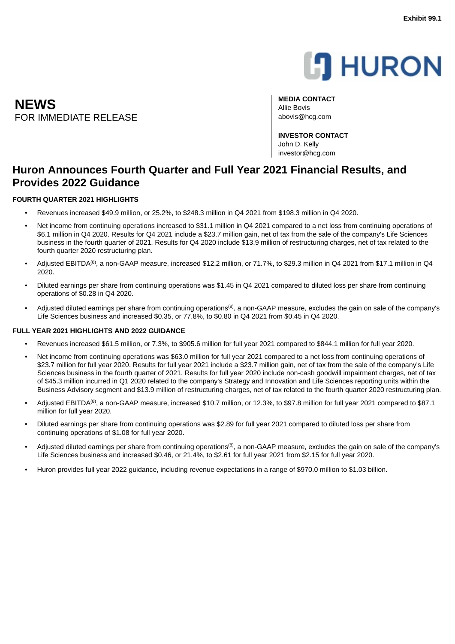

<span id="page-3-0"></span>**MEDIA CONTACT** Allie Bovis FOR IMMEDIATE RELEASE abovis@hcg.com

> **INVESTOR CONTACT** John D. Kelly investor@hcg.com

## **Huron Announces Fourth Quarter and Full Year 2021 Financial Results, and Provides 2022 Guidance**

## **FOURTH QUARTER 2021 HIGHLIGHTS**

**NEWS**

- Revenues increased \$49.9 million, or 25.2%, to \$248.3 million in Q4 2021 from \$198.3 million in Q4 2020.
- Net income from continuing operations increased to \$31.1 million in O4 2021 compared to a net loss from continuing operations of \$6.1 million in Q4 2020. Results for Q4 2021 include a \$23.7 million gain, net of tax from the sale of the company's Life Sciences business in the fourth quarter of 2021. Results for Q4 2020 include \$13.9 million of restructuring charges, net of tax related to the fourth quarter 2020 restructuring plan.
- Adjusted EBITDA<sup>(8)</sup>, a non-GAAP measure, increased \$12.2 million, or 71.7%, to \$29.3 million in Q4 2021 from \$17.1 million in Q4 2020.
- Diluted earnings per share from continuing operations was \$1.45 in Q4 2021 compared to diluted loss per share from continuing operations of \$0.28 in Q4 2020.
- Adjusted diluted earnings per share from continuing operations<sup>(8)</sup>, a non-GAAP measure, excludes the gain on sale of the company's Life Sciences business and increased \$0.35, or 77.8%, to \$0.80 in Q4 2021 from \$0.45 in Q4 2020.

#### **FULL YEAR 2021 HIGHLIGHTS AND 2022 GUIDANCE**

- Revenues increased \$61.5 million, or 7.3%, to \$905.6 million for full year 2021 compared to \$844.1 million for full year 2020.
- Net income from continuing operations was \$63.0 million for full year 2021 compared to a net loss from continuing operations of \$23.7 million for full year 2020. Results for full year 2021 include a \$23.7 million gain, net of tax from the sale of the company's Life Sciences business in the fourth quarter of 2021. Results for full year 2020 include non-cash goodwill impairment charges, net of tax of \$45.3 million incurred in Q1 2020 related to the company's Strategy and Innovation and Life Sciences reporting units within the Business Advisory segment and \$13.9 million of restructuring charges, net of tax related to the fourth quarter 2020 restructuring plan.
- Adjusted EBITDA $^{(8)}$ , a non-GAAP measure, increased \$10.7 million, or 12.3%, to \$97.8 million for full year 2021 compared to \$87.1 million for full year 2020.
- Diluted earnings per share from continuing operations was \$2.89 for full year 2021 compared to diluted loss per share from continuing operations of \$1.08 for full year 2020.
- Adjusted diluted earnings per share from continuing operations<sup>(8)</sup>, a non-GAAP measure, excludes the gain on sale of the company's Life Sciences business and increased \$0.46, or 21.4%, to \$2.61 for full year 2021 from \$2.15 for full year 2020.
- Huron provides full year 2022 guidance, including revenue expectations in a range of \$970.0 million to \$1.03 billion.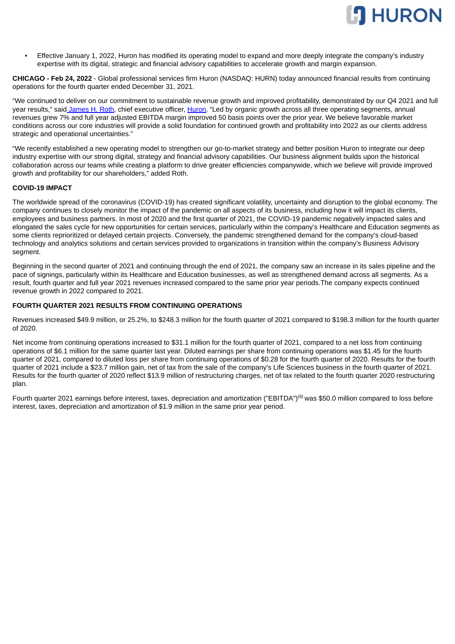

• Effective January 1, 2022, Huron has modified its operating model to expand and more deeply integrate the company's industry expertise with its digital, strategic and financial advisory capabilities to accelerate growth and margin expansion.

**CHICAGO - Feb 24, 2022** - Global professional services firm Huron (NASDAQ: HURN) today announced financial results from continuing operations for the fourth quarter ended December 31, 2021.

"We continued to deliver on our commitment to sustainable revenue growth and improved profitability, demonstrated by our Q4 2021 and full year results," said James H. Roth, chief executive officer, Huron. "Led by organic growth across all three operating segments, annual revenues grew 7% and full year adjusted EBITDA margin improved 50 basis points over the prior year. We believe favorable market conditions across our core industries will provide a solid foundation for continued growth and profitability into 2022 as our clients address strategic and operational uncertainties."

"We recently established a new operating model to strengthen our go-to-market strategy and better position Huron to integrate our deep industry expertise with our strong digital, strategy and financial advisory capabilities. Our business alignment builds upon the historical collaboration across our teams while creating a platform to drive greater efficiencies companywide, which we believe will provide improved growth and profitability for our shareholders," added Roth.

#### **COVID-19 IMPACT**

The worldwide spread of the coronavirus (COVID-19) has created significant volatility, uncertainty and disruption to the global economy. The company continues to closely monitor the impact of the pandemic on all aspects of its business, including how it will impact its clients, employees and business partners. In most of 2020 and the first quarter of 2021, the COVID-19 pandemic negatively impacted sales and elongated the sales cycle for new opportunities for certain services, particularly within the company's Healthcare and Education segments as some clients reprioritized or delayed certain projects. Conversely, the pandemic strengthened demand for the company's cloud-based technology and analytics solutions and certain services provided to organizations in transition within the company's Business Advisory segment.

Beginning in the second quarter of 2021 and continuing through the end of 2021, the company saw an increase in its sales pipeline and the pace of signings, particularly within its Healthcare and Education businesses, as well as strengthened demand across all segments. As a result, fourth quarter and full year 2021 revenues increased compared to the same prior year periods.The company expects continued revenue growth in 2022 compared to 2021.

#### **FOURTH QUARTER 2021 RESULTS FROM CONTINUING OPERATIONS**

Revenues increased \$49.9 million, or 25.2%, to \$248.3 million for the fourth quarter of 2021 compared to \$198.3 million for the fourth quarter of 2020.

Net income from continuing operations increased to \$31.1 million for the fourth quarter of 2021, compared to a net loss from continuing operations of \$6.1 million for the same quarter last year. Diluted earnings per share from continuing operations was \$1.45 for the fourth quarter of 2021, compared to diluted loss per share from continuing operations of \$0.28 for the fourth quarter of 2020. Results for the fourth quarter of 2021 include a \$23.7 million gain, net of tax from the sale of the company's Life Sciences business in the fourth quarter of 2021. Results for the fourth quarter of 2020 reflect \$13.9 million of restructuring charges, net of tax related to the fourth quarter 2020 restructuring plan.

Fourth quarter 2021 earnings before interest, taxes, depreciation and amortization ("EBITDA")<sup>(8)</sup> was \$50.0 million compared to loss before interest, taxes, depreciation and amortization of \$1.9 million in the same prior year period.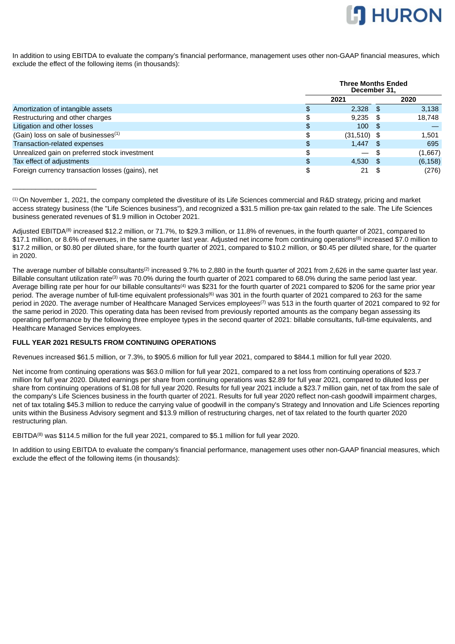

In addition to using EBITDA to evaluate the company's financial performance, management uses other non-GAAP financial measures, which exclude the effect of the following items (in thousands):

|                                                  |    | <b>Three Months Ended</b><br>December 31, |    |          |  |  |  |
|--------------------------------------------------|----|-------------------------------------------|----|----------|--|--|--|
|                                                  |    | 2021                                      |    | 2020     |  |  |  |
| Amortization of intangible assets                | £. | $2.328$ \$                                |    | 3,138    |  |  |  |
| Restructuring and other charges                  | \$ | $9,235$ \$                                |    | 18,748   |  |  |  |
| Litigation and other losses                      | \$ | $100 \text{ }$ \$                         |    |          |  |  |  |
| (Gain) loss on sale of businesses <sup>(1)</sup> | \$ | $(31,510)$ \$                             |    | 1.501    |  |  |  |
| Transaction-related expenses                     | \$ | $1,447$ \$                                |    | 695      |  |  |  |
| Unrealized gain on preferred stock investment    | \$ | $\overline{\phantom{0}}$                  | \$ | (1,667)  |  |  |  |
| Tax effect of adjustments                        | \$ | $4,530$ \$                                |    | (6, 158) |  |  |  |
| Foreign currency transaction losses (gains), net | \$ | 21                                        |    | (276)    |  |  |  |

 $<sup>(1)</sup>$  On November 1, 2021, the company completed the divestiture of its Life Sciences commercial and R&D strategy, pricing and market</sup> access strategy business (the "Life Sciences business"), and recognized a \$31.5 million pre-tax gain related to the sale. The Life Sciences business generated revenues of \$1.9 million in October 2021.

Adjusted EBITDA $^{(8)}$  increased \$12.2 million, or 71.7%, to \$29.3 million, or 11.8% of revenues, in the fourth quarter of 2021, compared to \$17.1 million, or 8.6% of revenues, in the same quarter last year. Adjusted net income from continuing operations® increased \$7.0 million to \$17.2 million, or \$0.80 per diluted share, for the fourth quarter of 2021, compared to \$10.2 million, or \$0.45 per diluted share, for the quarter in 2020.

The average number of billable consultants<sup>(2)</sup> increased 9.7% to 2,880 in the fourth quarter of 2021 from 2,626 in the same quarter last year. Billable consultant utilization rate<sup>(3)</sup> was 70.0% during the fourth quarter of 2021 compared to 68.0% during the same period last year. Average billing rate per hour for our billable consultants<sup>(4)</sup> was \$231 for the fourth quarter of 2021 compared to \$206 for the same prior year period. The average number of full-time equivalent professionals<sup>(6)</sup> was 301 in the fourth quarter of 2021 compared to 263 for the same period in 2020. The average number of Healthcare Managed Services employees<sup>(7)</sup> was 513 in the fourth quarter of 2021 compared to 92 for the same period in 2020. This operating data has been revised from previously reported amounts as the company began assessing its operating performance by the following three employee types in the second quarter of 2021: billable consultants, full-time equivalents, and Healthcare Managed Services employees.

## **FULL YEAR 2021 RESULTS FROM CONTINUING OPERATIONS**

 $\overline{\phantom{a}}$  , where  $\overline{\phantom{a}}$  , where  $\overline{\phantom{a}}$  , where  $\overline{\phantom{a}}$ 

Revenues increased \$61.5 million, or 7.3%, to \$905.6 million for full year 2021, compared to \$844.1 million for full year 2020.

Net income from continuing operations was \$63.0 million for full year 2021, compared to a net loss from continuing operations of \$23.7 million for full year 2020. Diluted earnings per share from continuing operations was \$2.89 for full year 2021, compared to diluted loss per share from continuing operations of \$1.08 for full year 2020. Results for full year 2021 include a \$23.7 million gain, net of tax from the sale of the company's Life Sciences business in the fourth quarter of 2021. Results for full year 2020 reflect non-cash goodwill impairment charges, net of tax totaling \$45.3 million to reduce the carrying value of goodwill in the company's Strategy and Innovation and Life Sciences reporting units within the Business Advisory segment and \$13.9 million of restructuring charges, net of tax related to the fourth quarter 2020 restructuring plan.

EBITDA<sup>(8)</sup> was \$114.5 million for the full year 2021, compared to \$5.1 million for full year 2020.

In addition to using EBITDA to evaluate the company's financial performance, management uses other non-GAAP financial measures, which exclude the effect of the following items (in thousands):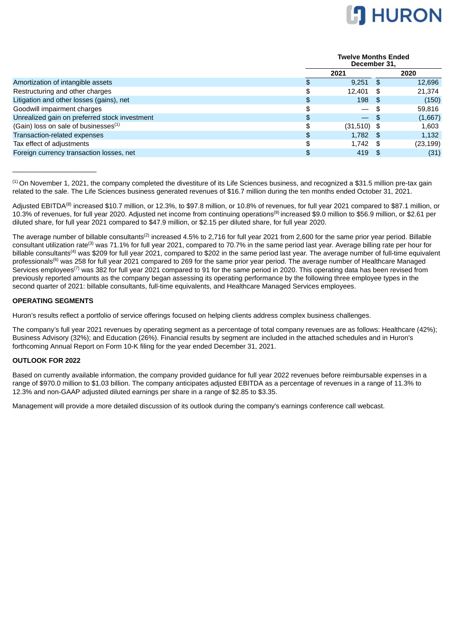

**Twelve Months Ended**

|                                                  |    | Tweive Months Ended<br>December 31, |      |           |  |  |
|--------------------------------------------------|----|-------------------------------------|------|-----------|--|--|
|                                                  |    | 2021                                |      | 2020      |  |  |
| Amortization of intangible assets                | Ъ  | $9,251$ \$                          |      | 12,696    |  |  |
| Restructuring and other charges                  | \$ | 12.401 \$                           |      | 21.374    |  |  |
| Litigation and other losses (gains), net         | \$ | 198                                 | - \$ | (150)     |  |  |
| Goodwill impairment charges                      | \$ | $\overline{\phantom{0}}$            |      | 59,816    |  |  |
| Unrealized gain on preferred stock investment    | \$ | — \$                                |      | (1,667)   |  |  |
| (Gain) loss on sale of businesses <sup>(1)</sup> | \$ | $(31,510)$ \$                       |      | 1,603     |  |  |
| Transaction-related expenses                     | \$ | $1,782$ \$                          |      | 1,132     |  |  |
| Tax effect of adjustments                        | \$ | $1,742$ \$                          |      | (23, 199) |  |  |
| Foreign currency transaction losses, net         | \$ | $419$ \$                            |      | (31)      |  |  |

 $^{(1)}$  On November 1, 2021, the company completed the divestiture of its Life Sciences business, and recognized a \$31.5 million pre-tax gain related to the sale. The Life Sciences business generated revenues of \$16.7 million during the ten months ended October 31, 2021.

Adjusted EBITDA $^{(8)}$  increased \$10.7 million, or 12.3%, to \$97.8 million, or 10.8% of revenues, for full year 2021 compared to \$87.1 million, or 10.3% of revenues, for full year 2020. Adjusted net income from continuing operations<sup>(8)</sup> increased \$9.0 million to \$56.9 million, or \$2.61 per diluted share, for full year 2021 compared to \$47.9 million, or \$2.15 per diluted share, for full year 2020.

The average number of billable consultants<sup>(2)</sup> increased 4.5% to 2,716 for full year 2021 from 2,600 for the same prior year period. Billable consultant utilization rate<sup>(3)</sup> was 71.1% for full year 2021, compared to 70.7% in the same period last year. Average billing rate per hour for billable consultants<sup>(4)</sup> was \$209 for full year 2021, compared to \$202 in the same period last year. The average number of full-time equivalent professionals<sup>(6)</sup> was 258 for full year 2021 compared to 269 for the same prior year period. The average number of Healthcare Managed Services employees<sup>(7)</sup> was 382 for full year 2021 compared to 91 for the same period in 2020. This operating data has been revised from previously reported amounts as the company began assessing its operating performance by the following three employee types in the second quarter of 2021: billable consultants, full-time equivalents, and Healthcare Managed Services employees.

#### **OPERATING SEGMENTS**

 $\overline{\phantom{a}}$  , where  $\overline{\phantom{a}}$  , where  $\overline{\phantom{a}}$  , where  $\overline{\phantom{a}}$ 

Huron's results reflect a portfolio of service offerings focused on helping clients address complex business challenges.

The company's full year 2021 revenues by operating segment as a percentage of total company revenues are as follows: Healthcare (42%); Business Advisory (32%); and Education (26%). Financial results by segment are included in the attached schedules and in Huron's forthcoming Annual Report on Form 10-K filing for the year ended December 31, 2021.

#### **OUTLOOK FOR 2022**

Based on currently available information, the company provided guidance for full year 2022 revenues before reimbursable expenses in a range of \$970.0 million to \$1.03 billion. The company anticipates adjusted EBITDA as a percentage of revenues in a range of 11.3% to 12.3% and non-GAAP adjusted diluted earnings per share in a range of \$2.85 to \$3.35.

Management will provide a more detailed discussion of its outlook during the company's earnings conference call webcast.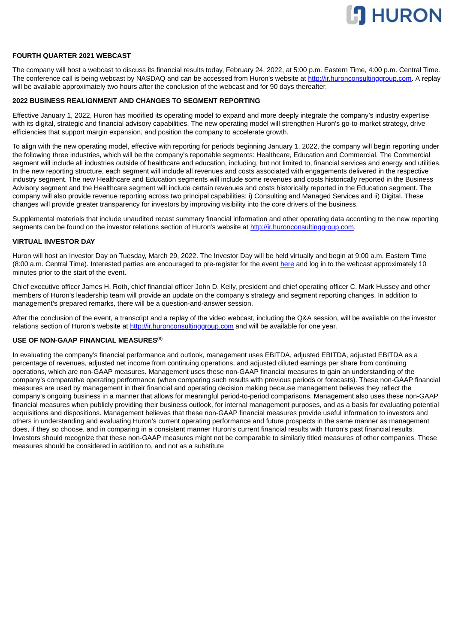

#### **FOURTH QUARTER 2021 WEBCAST**

The company will host a webcast to discuss its financial results today, February 24, 2022, at 5:00 p.m. Eastern Time, 4:00 p.m. Central Time. The conference call is being webcast by NASDAQ and can be accessed from Huron's website at http://ir.huronconsultinggroup.com. A replay will be available approximately two hours after the conclusion of the webcast and for 90 days thereafter.

#### **2022 BUSINESS REALIGNMENT AND CHANGES TO SEGMENT REPORTING**

Effective January 1, 2022, Huron has modified its operating model to expand and more deeply integrate the company's industry expertise with its digital, strategic and financial advisory capabilities. The new operating model will strengthen Huron's go-to-market strategy, drive efficiencies that support margin expansion, and position the company to accelerate growth.

To align with the new operating model, effective with reporting for periods beginning January 1, 2022, the company will begin reporting under the following three industries, which will be the company's reportable segments: Healthcare, Education and Commercial. The Commercial segment will include all industries outside of healthcare and education, including, but not limited to, financial services and energy and utilities. In the new reporting structure, each segment will include all revenues and costs associated with engagements delivered in the respective industry segment. The new Healthcare and Education segments will include some revenues and costs historically reported in the Business Advisory segment and the Healthcare segment will include certain revenues and costs historically reported in the Education segment. The company will also provide revenue reporting across two principal capabilities: i) Consulting and Managed Services and ii) Digital. These changes will provide greater transparency for investors by improving visibility into the core drivers of the business.

Supplemental materials that include unaudited recast summary financial information and other operating data according to the new reporting segments can be found on the investor relations section of Huron's website at http://ir.huronconsultinggroup.com.

#### **VIRTUAL INVESTOR DAY**

Huron will host an Investor Day on Tuesday, March 29, 2022. The Investor Day will be held virtually and begin at 9:00 a.m. Eastern Time (8:00 a.m. Central Time). Interested parties are encouraged to pre-register for the event here and log in to the webcast approximately 10 minutes prior to the start of the event.

Chief executive officer James H. Roth, chief financial officer John D. Kelly, president and chief operating officer C. Mark Hussey and other members of Huron's leadership team will provide an update on the company's strategy and segment reporting changes. In addition to management's prepared remarks, there will be a question-and-answer session.

After the conclusion of the event, a transcript and a replay of the video webcast, including the Q&A session, will be available on the investor relations section of Huron's website at http://ir.huronconsultinggroup.com and will be available for one year.

#### **USE OF NON-GAAP FINANCIAL MEASURES** (8)

In evaluating the company's financial performance and outlook, management uses EBITDA, adjusted EBITDA, adjusted EBITDA as a percentage of revenues, adjusted net income from continuing operations, and adjusted diluted earnings per share from continuing operations, which are non-GAAP measures. Management uses these non-GAAP financial measures to gain an understanding of the company's comparative operating performance (when comparing such results with previous periods or forecasts). These non-GAAP financial measures are used by management in their financial and operating decision making because management believes they reflect the company's ongoing business in a manner that allows for meaningful period-to-period comparisons. Management also uses these non-GAAP financial measures when publicly providing their business outlook, for internal management purposes, and as a basis for evaluating potential acquisitions and dispositions. Management believes that these non-GAAP financial measures provide useful information to investors and others in understanding and evaluating Huron's current operating performance and future prospects in the same manner as management does, if they so choose, and in comparing in a consistent manner Huron's current financial results with Huron's past financial results. Investors should recognize that these non-GAAP measures might not be comparable to similarly titled measures of other companies. These measures should be considered in addition to, and not as a substitute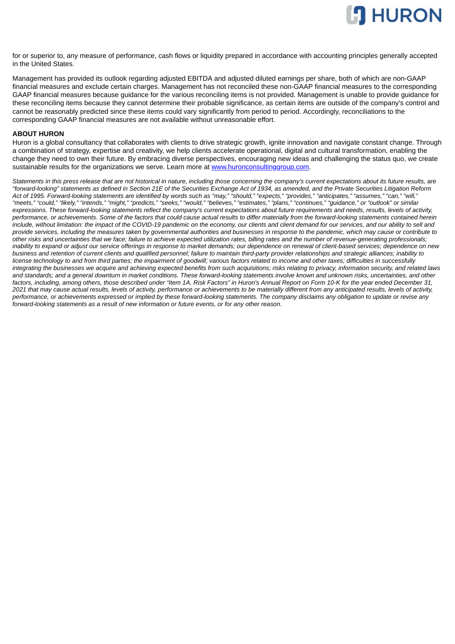

for or superior to, any measure of performance, cash flows or liquidity prepared in accordance with accounting principles generally accepted in the United States.

Management has provided its outlook regarding adjusted EBITDA and adjusted diluted earnings per share, both of which are non-GAAP financial measures and exclude certain charges. Management has not reconciled these non-GAAP financial measures to the corresponding GAAP financial measures because guidance for the various reconciling items is not provided. Management is unable to provide guidance for these reconciling items because they cannot determine their probable significance, as certain items are outside of the company's control and cannot be reasonably predicted since these items could vary significantly from period to period. Accordingly, reconciliations to the corresponding GAAP financial measures are not available without unreasonable effort.

#### **ABOUT HURON**

Huron is a global consultancy that collaborates with clients to drive strategic growth, ignite innovation and navigate constant change. Through a combination of strategy, expertise and creativity, we help clients accelerate operational, digital and cultural transformation, enabling the change they need to own their future. By embracing diverse perspectives, encouraging new ideas and challenging the status quo, we create sustainable results for the organizations we serve. Learn more at www.huronconsultinggroup.com.

*Statements in this press release that are not historical in nature, including those concerning the company's current expectations about its future results, are "forward-looking" statements as defined in Section 21E of the Securities Exchange Act of 1934, as amended, and the Private Securities Litigation Reform Act of 1995. Forward-looking statements are identified by words such as "may," "should," "expects," "provides," "anticipates," "assumes," "can," "will," "meets," "could," "likely," "intends," "might," "predicts," "seeks," "would," "believes," "estimates," "plans," "continues," "guidance," or "outlook" or similar expressions. These forward-looking statements reflect the company's current expectations about future requirements and needs, results, levels of activity, performance, or achievements. Some of the factors that could cause actual results to differ materially from the forward-looking statements contained herein include, without limitation: the impact of the COVID-19 pandemic on the economy, our clients and client demand for our services, and our ability to sell and provide services, including the measures taken by governmental authorities and businesses in response to the pandemic, which may cause or contribute to other risks and uncertainties that we face; failure to achieve expected utilization rates, billing rates and the number of revenue-generating professionals; inability to expand or adjust our service offerings in response to market demands; our dependence on renewal of client-based services; dependence on new business and retention of current clients and qualified personnel; failure to maintain third-party provider relationships and strategic alliances; inability to license technology to and from third parties; the impairment of goodwill; various factors related to income and other taxes; difficulties in successfully integrating the businesses we acquire and achieving expected benefits from such acquisitions; risks relating to privacy, information security, and related laws and standards; and a general downturn in market conditions. These forward-looking statements involve known and unknown risks, uncertainties, and other factors, including, among others, those described under "Item 1A. Risk Factors" in Huron's Annual Report on Form 10-K for the year ended December 31, 2021 that may cause actual results, levels of activity, performance or achievements to be materially different from any anticipated results, levels of activity, performance, or achievements expressed or implied by these forward-looking statements. The company disclaims any obligation to update or revise any forward-looking statements as a result of new information or future events, or for any other reason.*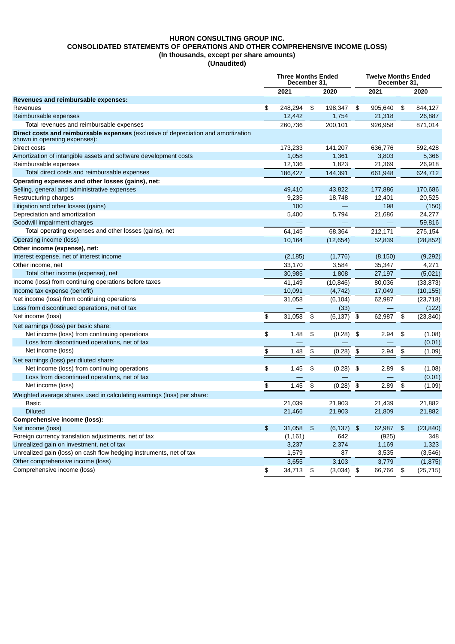## **HURON CONSULTING GROUP INC. CONSOLIDATED STATEMENTS OF OPERATIONS AND OTHER COMPREHENSIVE INCOME (LOSS) (In thousands, except per share amounts)**

**(Unaudited)**

|                                                                                                                     |               | <b>Three Months Ended</b><br>December 31, |    |             | <b>Twelve Months Ended</b><br>December 31. |         |               |           |  |
|---------------------------------------------------------------------------------------------------------------------|---------------|-------------------------------------------|----|-------------|--------------------------------------------|---------|---------------|-----------|--|
|                                                                                                                     |               | 2021                                      |    | 2020        |                                            | 2021    |               | 2020      |  |
| Revenues and reimbursable expenses:                                                                                 |               |                                           |    |             |                                            |         |               |           |  |
| Revenues                                                                                                            | \$            | 248,294                                   | \$ | 198,347     | \$                                         | 905,640 | \$            | 844.127   |  |
| Reimbursable expenses                                                                                               |               | 12,442                                    |    | 1,754       |                                            | 21,318  |               | 26,887    |  |
| Total revenues and reimbursable expenses                                                                            |               | 260,736                                   |    | 200,101     |                                            | 926,958 |               | 871,014   |  |
| Direct costs and reimbursable expenses (exclusive of depreciation and amortization<br>shown in operating expenses): |               |                                           |    |             |                                            |         |               |           |  |
| Direct costs                                                                                                        |               | 173,233                                   |    | 141,207     |                                            | 636,776 |               | 592,428   |  |
| Amortization of intangible assets and software development costs                                                    |               | 1,058                                     |    | 1,361       |                                            | 3,803   |               | 5,366     |  |
| Reimbursable expenses                                                                                               |               | 12,136                                    |    | 1,823       |                                            | 21,369  |               | 26,918    |  |
| Total direct costs and reimbursable expenses                                                                        |               | 186,427                                   |    | 144,391     |                                            | 661,948 |               | 624,712   |  |
| Operating expenses and other losses (gains), net:                                                                   |               |                                           |    |             |                                            |         |               |           |  |
| Selling, general and administrative expenses                                                                        |               | 49,410                                    |    | 43,822      |                                            | 177,886 |               | 170,686   |  |
| Restructuring charges                                                                                               |               | 9,235                                     |    | 18,748      |                                            | 12,401  |               | 20,525    |  |
| Litigation and other losses (gains)                                                                                 |               | 100                                       |    |             |                                            | 198     |               | (150)     |  |
| Depreciation and amortization                                                                                       |               | 5,400                                     |    | 5,794       |                                            | 21,686  |               | 24,277    |  |
| Goodwill impairment charges                                                                                         |               |                                           |    |             |                                            |         |               | 59.816    |  |
| Total operating expenses and other losses (gains), net                                                              |               | 64,145                                    |    | 68,364      |                                            | 212,171 |               | 275,154   |  |
| Operating income (loss)                                                                                             |               | 10,164                                    |    | (12, 654)   |                                            | 52,839  |               | (28, 852) |  |
| Other income (expense), net:                                                                                        |               |                                           |    |             |                                            |         |               |           |  |
| Interest expense, net of interest income                                                                            |               | (2, 185)                                  |    | (1,776)     |                                            | (8,150) |               | (9, 292)  |  |
| Other income, net                                                                                                   |               | 33,170                                    |    | 3,584       |                                            | 35,347  |               | 4,271     |  |
| Total other income (expense), net                                                                                   |               | 30,985                                    |    | 1,808       |                                            | 27,197  |               | (5,021)   |  |
| Income (loss) from continuing operations before taxes                                                               |               | 41,149                                    |    | (10, 846)   |                                            | 80,036  |               | (33, 873) |  |
| Income tax expense (benefit)                                                                                        |               | 10,091                                    |    | (4, 742)    |                                            | 17,049  |               | (10, 155) |  |
| Net income (loss) from continuing operations                                                                        |               | 31,058                                    |    | (6, 104)    |                                            | 62,987  |               | (23, 718) |  |
| Loss from discontinued operations, net of tax                                                                       |               |                                           |    | (33)        |                                            |         |               | (122)     |  |
| Net income (loss)                                                                                                   | \$            | 31,058                                    | \$ | (6, 137)    | \$                                         | 62,987  | \$            | (23, 840) |  |
| Net earnings (loss) per basic share:                                                                                |               |                                           |    |             |                                            |         |               |           |  |
| Net income (loss) from continuing operations                                                                        | $\frac{2}{3}$ | 1.48                                      | \$ | (0.28)      | \$                                         | 2.94    | \$            | (1.08)    |  |
| Loss from discontinued operations, net of tax                                                                       |               |                                           |    |             |                                            |         |               | (0.01)    |  |
| Net income (loss)                                                                                                   | \$            | 1.48                                      | \$ | (0.28)      | \$                                         | 2.94    | \$            | (1.09)    |  |
| Net earnings (loss) per diluted share:                                                                              |               |                                           |    |             |                                            |         |               |           |  |
| Net income (loss) from continuing operations                                                                        | \$            | 1.45                                      | \$ | $(0.28)$ \$ |                                            | 2.89    | \$            | (1.08)    |  |
| Loss from discontinued operations, net of tax                                                                       |               |                                           |    |             |                                            |         |               | (0.01)    |  |
| Net income (loss)                                                                                                   | \$            | 1.45                                      | \$ | (0.28)      | \$                                         | 2.89    | \$            | (1.09)    |  |
|                                                                                                                     |               |                                           |    |             |                                            |         |               |           |  |
| Weighted average shares used in calculating earnings (loss) per share:                                              |               |                                           |    |             |                                            |         |               |           |  |
| <b>Basic</b><br><b>Diluted</b>                                                                                      |               | 21,039                                    |    | 21,903      |                                            | 21,439  |               | 21,882    |  |
|                                                                                                                     |               | 21,466                                    |    | 21,903      |                                            | 21,809  |               | 21,882    |  |
| <b>Comprehensive income (loss):</b>                                                                                 |               |                                           |    |             |                                            |         |               |           |  |
| Net income (loss)                                                                                                   | $\frac{1}{2}$ | 31,058                                    | \$ | (6, 137)    | $\frac{1}{2}$                              | 62,987  | $\frac{2}{3}$ | (23, 840) |  |
| Foreign currency translation adjustments, net of tax                                                                |               | (1, 161)                                  |    | 642         |                                            | (925)   |               | 348       |  |
| Unrealized gain on investment, net of tax                                                                           |               | 3,237                                     |    | 2,374       |                                            | 1,169   |               | 1,323     |  |
| Unrealized gain (loss) on cash flow hedging instruments, net of tax                                                 |               | 1,579                                     |    | 87          |                                            | 3,535   |               | (3,546)   |  |
| Other comprehensive income (loss)                                                                                   |               | 3,655                                     |    | 3,103       |                                            | 3,779   |               | (1, 875)  |  |
| Comprehensive income (loss)                                                                                         | \$            | 34,713                                    | \$ | (3,034)     | \$                                         | 66,766  | \$            | (25, 715) |  |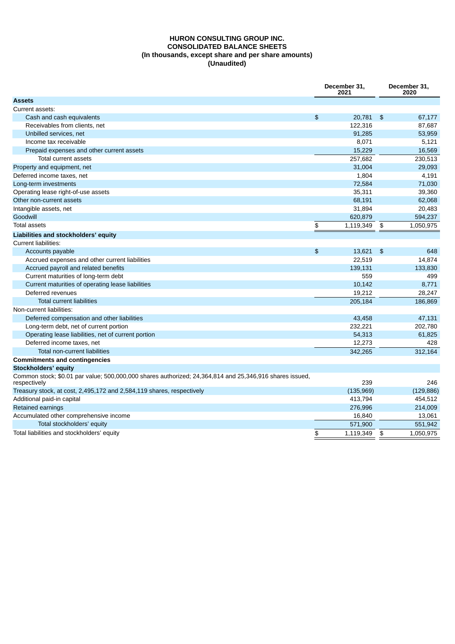## **HURON CONSULTING GROUP INC. CONSOLIDATED BALANCE SHEETS (In thousands, except share and per share amounts) (Unaudited)**

|                                                                                                                         | December 31,<br>2021 |           |                | December 31,<br>2020 |
|-------------------------------------------------------------------------------------------------------------------------|----------------------|-----------|----------------|----------------------|
| <b>Assets</b>                                                                                                           |                      |           |                |                      |
| Current assets:                                                                                                         |                      |           |                |                      |
| Cash and cash equivalents                                                                                               | \$                   | 20,781    | $\mathfrak{F}$ | 67.177               |
| Receivables from clients, net                                                                                           |                      | 122,316   |                | 87.687               |
| Unbilled services, net                                                                                                  |                      | 91.285    |                | 53,959               |
| Income tax receivable                                                                                                   |                      | 8,071     |                | 5,121                |
| Prepaid expenses and other current assets                                                                               |                      | 15.229    |                | 16,569               |
| <b>Total current assets</b>                                                                                             |                      | 257,682   |                | 230,513              |
| Property and equipment, net                                                                                             |                      | 31.004    |                | 29,093               |
| Deferred income taxes, net                                                                                              |                      | 1,804     |                | 4.191                |
| Long-term investments                                                                                                   |                      | 72,584    |                | 71,030               |
| Operating lease right-of-use assets                                                                                     |                      | 35,311    |                | 39,360               |
| Other non-current assets                                                                                                |                      | 68,191    |                | 62,068               |
| Intangible assets, net                                                                                                  |                      | 31,894    |                | 20,483               |
| Goodwill                                                                                                                |                      | 620,879   |                | 594,237              |
| <b>Total assets</b>                                                                                                     | \$                   | 1,119,349 | \$             | 1,050,975            |
| Liabilities and stockholders' equity                                                                                    |                      |           |                |                      |
| <b>Current liabilities:</b>                                                                                             |                      |           |                |                      |
| Accounts payable                                                                                                        | \$                   | 13,621    | \$             | 648                  |
| Accrued expenses and other current liabilities                                                                          |                      | 22.519    |                | 14.874               |
| Accrued payroll and related benefits                                                                                    |                      | 139,131   |                | 133,830              |
| Current maturities of long-term debt                                                                                    |                      | 559       |                | 499                  |
| Current maturities of operating lease liabilities                                                                       |                      | 10,142    |                | 8.771                |
| Deferred revenues                                                                                                       |                      | 19.212    |                | 28,247               |
| <b>Total current liabilities</b>                                                                                        |                      | 205.184   |                | 186,869              |
| Non-current liabilities:                                                                                                |                      |           |                |                      |
| Deferred compensation and other liabilities                                                                             |                      | 43,458    |                | 47,131               |
| Long-term debt, net of current portion                                                                                  |                      | 232,221   |                | 202,780              |
| Operating lease liabilities, net of current portion                                                                     |                      | 54,313    |                | 61,825               |
| Deferred income taxes, net                                                                                              |                      | 12,273    |                | 428                  |
| <b>Total non-current liabilities</b>                                                                                    |                      | 342.265   |                | 312.164              |
| <b>Commitments and contingencies</b>                                                                                    |                      |           |                |                      |
| Stockholders' equity                                                                                                    |                      |           |                |                      |
| Common stock; \$0.01 par value; 500,000,000 shares authorized; 24,364,814 and 25,346,916 shares issued,<br>respectively |                      | 239       |                | 246                  |
| Treasury stock, at cost, 2,495,172 and 2,584,119 shares, respectively                                                   |                      | (135,969) |                | (129, 886)           |
| Additional paid-in capital                                                                                              |                      | 413.794   |                | 454,512              |
| Retained earnings                                                                                                       |                      | 276.996   |                | 214,009              |
| Accumulated other comprehensive income                                                                                  |                      | 16,840    |                | 13,061               |
| Total stockholders' equity                                                                                              |                      | 571,900   |                | 551,942              |
| Total liabilities and stockholders' equity                                                                              | \$                   | 1,119,349 | \$             | 1.050.975            |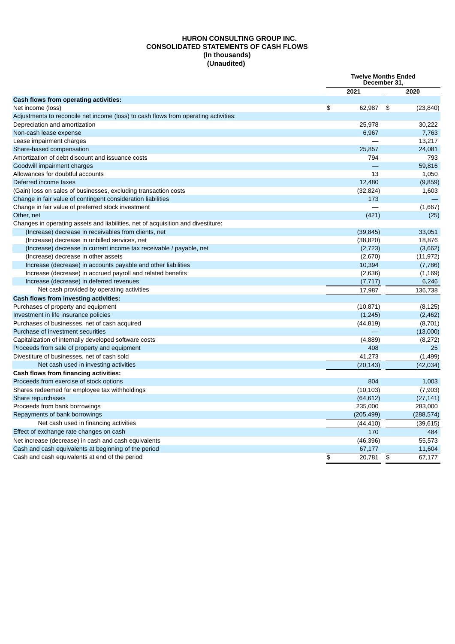## **HURON CONSULTING GROUP INC. CONSOLIDATED STATEMENTS OF CASH FLOWS (In thousands) (Unaudited)**

|                                                                                     | <b>Twelve Months Ended</b><br>December 31, |            |    |            |  |
|-------------------------------------------------------------------------------------|--------------------------------------------|------------|----|------------|--|
|                                                                                     |                                            | 2021       |    | 2020       |  |
| Cash flows from operating activities:                                               |                                            |            |    |            |  |
| Net income (loss)                                                                   | \$                                         | 62,987     | \$ | (23, 840)  |  |
| Adjustments to reconcile net income (loss) to cash flows from operating activities: |                                            |            |    |            |  |
| Depreciation and amortization                                                       |                                            | 25,978     |    | 30,222     |  |
| Non-cash lease expense                                                              |                                            | 6,967      |    | 7,763      |  |
| Lease impairment charges                                                            |                                            |            |    | 13,217     |  |
| Share-based compensation                                                            |                                            | 25,857     |    | 24,081     |  |
| Amortization of debt discount and issuance costs                                    |                                            | 794        |    | 793        |  |
| Goodwill impairment charges                                                         |                                            |            |    | 59,816     |  |
| Allowances for doubtful accounts                                                    |                                            | 13         |    | 1,050      |  |
| Deferred income taxes                                                               |                                            | 12,480     |    | (9,859)    |  |
| (Gain) loss on sales of businesses, excluding transaction costs                     |                                            | (32, 824)  |    | 1,603      |  |
| Change in fair value of contingent consideration liabilities                        |                                            | 173        |    |            |  |
| Change in fair value of preferred stock investment                                  |                                            |            |    | (1,667)    |  |
| Other, net                                                                          |                                            | (421)      |    | (25)       |  |
| Changes in operating assets and liabilities, net of acquisition and divestiture:    |                                            |            |    |            |  |
| (Increase) decrease in receivables from clients, net                                |                                            | (39, 845)  |    | 33,051     |  |
| (Increase) decrease in unbilled services, net                                       |                                            | (38, 820)  |    | 18,876     |  |
| (Increase) decrease in current income tax receivable / payable, net                 |                                            | (2,723)    |    | (3,662)    |  |
| (Increase) decrease in other assets                                                 |                                            | (2,670)    |    | (11, 972)  |  |
| Increase (decrease) in accounts payable and other liabilities                       |                                            | 10,394     |    | (7,786)    |  |
| Increase (decrease) in accrued payroll and related benefits                         |                                            | (2,636)    |    | (1, 169)   |  |
| Increase (decrease) in deferred revenues                                            |                                            | (7, 717)   |    | 6,246      |  |
| Net cash provided by operating activities                                           |                                            | 17,987     |    | 136,738    |  |
| Cash flows from investing activities:                                               |                                            |            |    |            |  |
| Purchases of property and equipment                                                 |                                            | (10, 871)  |    | (8, 125)   |  |
| Investment in life insurance policies                                               |                                            | (1, 245)   |    | (2,462)    |  |
| Purchases of businesses, net of cash acquired                                       |                                            | (44, 819)  |    | (8,701)    |  |
| Purchase of investment securities                                                   |                                            |            |    | (13,000)   |  |
| Capitalization of internally developed software costs                               |                                            | (4,889)    |    | (8,272)    |  |
| Proceeds from sale of property and equipment                                        |                                            | 408        |    | 25         |  |
| Divestiture of businesses, net of cash sold                                         |                                            | 41,273     |    | (1, 499)   |  |
| Net cash used in investing activities                                               |                                            | (20, 143)  |    | (42, 034)  |  |
| Cash flows from financing activities:                                               |                                            |            |    |            |  |
| Proceeds from exercise of stock options                                             |                                            | 804        |    | 1,003      |  |
| Shares redeemed for employee tax withholdings                                       |                                            | (10, 103)  |    | (7,903)    |  |
| Share repurchases                                                                   |                                            | (64, 612)  |    | (27, 141)  |  |
| Proceeds from bank borrowings                                                       |                                            | 235,000    |    | 283,000    |  |
| Repayments of bank borrowings                                                       |                                            | (205, 499) |    | (288, 574) |  |
| Net cash used in financing activities                                               |                                            | (44, 410)  |    | (39, 615)  |  |
| Effect of exchange rate changes on cash                                             |                                            | 170        |    | 484        |  |
| Net increase (decrease) in cash and cash equivalents                                |                                            | (46, 396)  |    | 55,573     |  |
| Cash and cash equivalents at beginning of the period                                |                                            | 67,177     |    | 11,604     |  |
| Cash and cash equivalents at end of the period                                      | \$                                         | 20,781     | \$ | 67,177     |  |
|                                                                                     |                                            |            |    |            |  |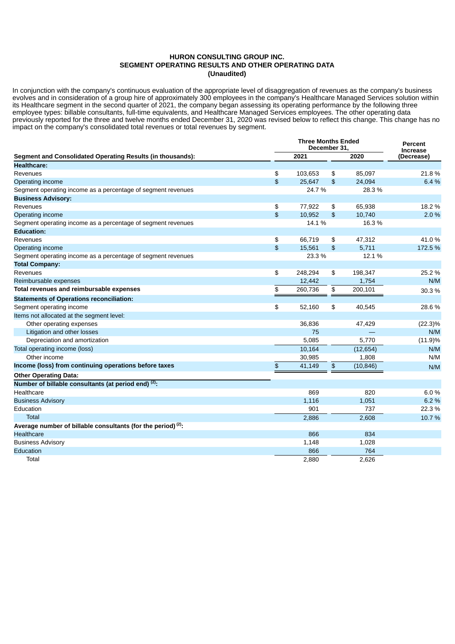### **HURON CONSULTING GROUP INC. SEGMENT OPERATING RESULTS AND OTHER OPERATING DATA (Unaudited)**

In conjunction with the company's continuous evaluation of the appropriate level of disaggregation of revenues as the company's business evolves and in consideration of a group hire of approximately 300 employees in the company's Healthcare Managed Services solution within its Healthcare segment in the second quarter of 2021, the company began assessing its operating performance by the following three employee types: billable consultants, full-time equivalents, and Healthcare Managed Services employees. The other operating data previously reported for the three and twelve months ended December 31, 2020 was revised below to reflect this change. This change has no impact on the company's consolidated total revenues or total revenues by segment.

|                                                                 |    | <b>Three Months Ended</b><br>December 31, |                |           |            |  |  |  |
|-----------------------------------------------------------------|----|-------------------------------------------|----------------|-----------|------------|--|--|--|
| Segment and Consolidated Operating Results (in thousands):      |    | 2021                                      |                | 2020      | (Decrease) |  |  |  |
| <b>Healthcare:</b>                                              |    |                                           |                |           |            |  |  |  |
| Revenues                                                        | \$ | 103,653                                   | \$             | 85,097    | 21.8%      |  |  |  |
| Operating income                                                | \$ | 25.647                                    | $\mathfrak{D}$ | 24,094    | 6.4 %      |  |  |  |
| Segment operating income as a percentage of segment revenues    |    | 24.7%                                     |                | 28.3 %    |            |  |  |  |
| <b>Business Advisory:</b>                                       |    |                                           |                |           |            |  |  |  |
| Revenues                                                        | \$ | 77,922                                    | \$             | 65,938    | 18.2 %     |  |  |  |
| Operating income                                                | \$ | 10,952                                    | $\mathfrak{L}$ | 10,740    | 2.0 %      |  |  |  |
| Segment operating income as a percentage of segment revenues    |    | 14.1%                                     |                | 16.3 %    |            |  |  |  |
| <b>Education:</b>                                               |    |                                           |                |           |            |  |  |  |
| Revenues                                                        | \$ | 66,719                                    | \$             | 47,312    | 41.0%      |  |  |  |
| Operating income                                                | \$ | 15,561                                    | $\frac{2}{3}$  | 5,711     | 172.5 %    |  |  |  |
| Segment operating income as a percentage of segment revenues    |    | 23.3 %                                    |                | 12.1 %    |            |  |  |  |
| <b>Total Company:</b>                                           |    |                                           |                |           |            |  |  |  |
| Revenues                                                        | \$ | 248,294                                   | \$             | 198,347   | 25.2 %     |  |  |  |
| Reimbursable expenses                                           |    | 12,442                                    |                | 1,754     | N/M        |  |  |  |
| Total revenues and reimbursable expenses                        | \$ | 260,736                                   | \$             | 200,101   | 30.3 %     |  |  |  |
| <b>Statements of Operations reconciliation:</b>                 |    |                                           |                |           |            |  |  |  |
| Segment operating income                                        | \$ | 52,160                                    | \$             | 40,545    | 28.6%      |  |  |  |
| Items not allocated at the segment level:                       |    |                                           |                |           |            |  |  |  |
| Other operating expenses                                        |    | 36,836                                    |                | 47,429    | $(22.3)\%$ |  |  |  |
| Litigation and other losses                                     |    | 75                                        |                | $\equiv$  | N/M        |  |  |  |
| Depreciation and amortization                                   |    | 5,085                                     |                | 5,770     | $(11.9)\%$ |  |  |  |
| Total operating income (loss)                                   |    | 10,164                                    |                | (12, 654) | N/M        |  |  |  |
| Other income                                                    |    | 30,985                                    |                | 1,808     | N/M        |  |  |  |
| Income (loss) from continuing operations before taxes           | \$ | 41,149                                    | $\frac{2}{3}$  | (10, 846) | N/M        |  |  |  |
| <b>Other Operating Data:</b>                                    |    |                                           |                |           |            |  |  |  |
| Number of billable consultants (at period end) (2).             |    |                                           |                |           |            |  |  |  |
| Healthcare                                                      |    | 869                                       |                | 820       | 6.0%       |  |  |  |
| <b>Business Advisory</b>                                        |    | 1,116                                     |                | 1,051     | 6.2 %      |  |  |  |
| Education                                                       |    | 901                                       |                | 737       | 22.3 %     |  |  |  |
| <b>Total</b>                                                    |    | 2,886                                     |                | 2,608     | 10.7%      |  |  |  |
| Average number of billable consultants (for the period) $(2)$ . |    |                                           |                |           |            |  |  |  |
| <b>Healthcare</b>                                               |    | 866                                       |                | 834       |            |  |  |  |
| <b>Business Advisory</b>                                        |    | 1,148                                     |                | 1,028     |            |  |  |  |
| Education                                                       |    | 866                                       |                | 764       |            |  |  |  |
| Total                                                           |    | 2,880                                     |                | 2,626     |            |  |  |  |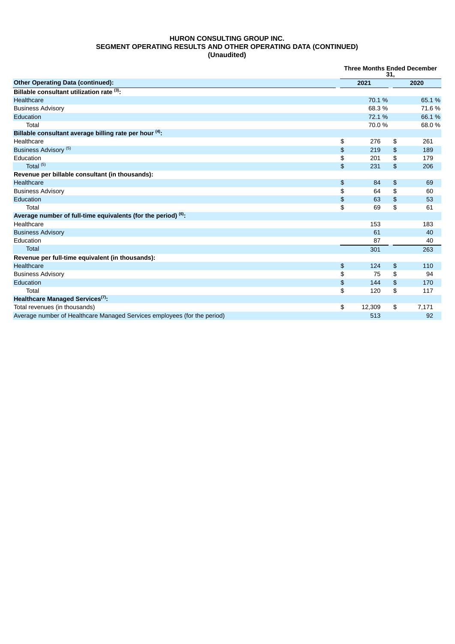## **HURON CONSULTING GROUP INC. SEGMENT OPERATING RESULTS AND OTHER OPERATING DATA (CONTINUED) (Unaudited)**

|                                                                          |               | <b>Three Months Ended December</b><br>31, |               |       |  |  |  |
|--------------------------------------------------------------------------|---------------|-------------------------------------------|---------------|-------|--|--|--|
| <b>Other Operating Data (continued):</b>                                 |               | 2021                                      |               | 2020  |  |  |  |
| Billable consultant utilization rate (3):                                |               |                                           |               |       |  |  |  |
| Healthcare                                                               |               | 70.1 %                                    |               | 65.1% |  |  |  |
| <b>Business Advisory</b>                                                 |               | 68.3%                                     |               | 71.6% |  |  |  |
| Education                                                                |               | 72.1 %                                    |               | 66.1% |  |  |  |
| Total                                                                    |               | 70.0%                                     |               | 68.0% |  |  |  |
| Billable consultant average billing rate per hour (4).                   |               |                                           |               |       |  |  |  |
| Healthcare                                                               | \$            | 276                                       | \$            | 261   |  |  |  |
| Business Advisory <sup>(5)</sup>                                         | \$            | 219                                       | \$            | 189   |  |  |  |
| Education                                                                | \$            | 201                                       | \$            | 179   |  |  |  |
| Total $(5)$                                                              | \$            | 231                                       | \$            | 206   |  |  |  |
| Revenue per billable consultant (in thousands):                          |               |                                           |               |       |  |  |  |
| Healthcare                                                               | $\frac{1}{2}$ | 84                                        | \$            | 69    |  |  |  |
| <b>Business Advisory</b>                                                 | \$            | 64                                        | \$            | 60    |  |  |  |
| Education                                                                | \$            | 63                                        | \$            | 53    |  |  |  |
| Total                                                                    | \$            | 69                                        | \$            | 61    |  |  |  |
| Average number of full-time equivalents (for the period) (6):            |               |                                           |               |       |  |  |  |
| Healthcare                                                               |               | 153                                       |               | 183   |  |  |  |
| <b>Business Advisory</b>                                                 |               | 61                                        |               | 40    |  |  |  |
| Education                                                                |               | 87                                        |               | 40    |  |  |  |
| Total                                                                    |               | 301                                       |               | 263   |  |  |  |
| Revenue per full-time equivalent (in thousands):                         |               |                                           |               |       |  |  |  |
| <b>Healthcare</b>                                                        | \$            | 124                                       | $\frac{2}{3}$ | 110   |  |  |  |
| <b>Business Advisory</b>                                                 | \$            | 75                                        | \$            | 94    |  |  |  |
| Education                                                                | \$            | 144                                       | \$            | 170   |  |  |  |
| Total                                                                    | \$            | 120                                       | \$            | 117   |  |  |  |
| Healthcare Managed Services <sup>(7)</sup> :                             |               |                                           |               |       |  |  |  |
| Total revenues (in thousands)                                            | \$            | 12,309                                    | \$            | 7,171 |  |  |  |
| Average number of Healthcare Managed Services employees (for the period) |               | 513                                       |               | 92    |  |  |  |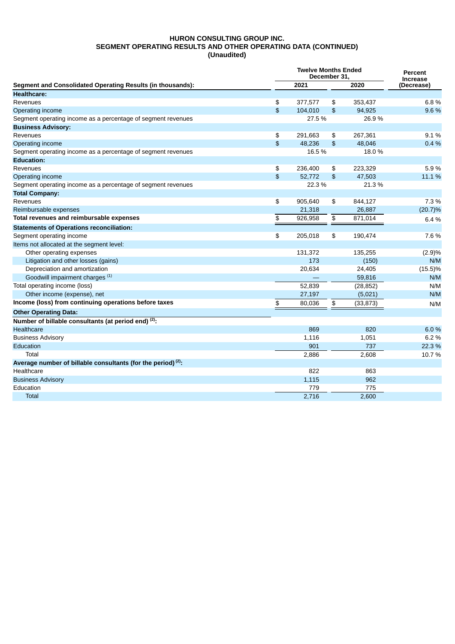## **HURON CONSULTING GROUP INC. SEGMENT OPERATING RESULTS AND OTHER OPERATING DATA (CONTINUED) (Unaudited)**

|                                                                 |    | <b>Twelve Months Ended</b><br>December 31. |                |           |                               |  |  |  |
|-----------------------------------------------------------------|----|--------------------------------------------|----------------|-----------|-------------------------------|--|--|--|
| Segment and Consolidated Operating Results (in thousands):      |    | 2021                                       |                | 2020      | <b>Increase</b><br>(Decrease) |  |  |  |
| <b>Healthcare:</b>                                              |    |                                            |                |           |                               |  |  |  |
| Revenues                                                        | \$ | 377,577                                    | \$             | 353,437   | 6.8%                          |  |  |  |
| Operating income                                                | \$ | 104.010                                    | \$             | 94.925    | 9.6%                          |  |  |  |
| Segment operating income as a percentage of segment revenues    |    | 27.5 %                                     |                | 26.9%     |                               |  |  |  |
| <b>Business Advisory:</b>                                       |    |                                            |                |           |                               |  |  |  |
| Revenues                                                        | \$ | 291,663                                    | \$             | 267,361   | 9.1%                          |  |  |  |
| Operating income                                                | \$ | 48,236                                     | $\mathfrak{D}$ | 48,046    | 0.4%                          |  |  |  |
| Segment operating income as a percentage of segment revenues    |    | 16.5%                                      |                | 18.0%     |                               |  |  |  |
| <b>Education:</b>                                               |    |                                            |                |           |                               |  |  |  |
| Revenues                                                        | \$ | 236,400                                    | \$             | 223,329   | 5.9%                          |  |  |  |
| Operating income                                                | \$ | 52,772                                     | \$             | 47,503    | 11.1 %                        |  |  |  |
| Segment operating income as a percentage of segment revenues    |    | 22.3 %                                     |                | 21.3 %    |                               |  |  |  |
| <b>Total Company:</b>                                           |    |                                            |                |           |                               |  |  |  |
| Revenues                                                        | \$ | 905,640                                    | \$             | 844,127   | 7.3 %                         |  |  |  |
| Reimbursable expenses                                           |    | 21,318                                     |                | 26,887    | (20.7)%                       |  |  |  |
| Total revenues and reimbursable expenses                        | \$ | 926,958                                    | \$             | 871,014   | 6.4%                          |  |  |  |
| <b>Statements of Operations reconciliation:</b>                 |    |                                            |                |           |                               |  |  |  |
| Segment operating income                                        | \$ | 205,018                                    | \$             | 190,474   | 7.6%                          |  |  |  |
| Items not allocated at the segment level:                       |    |                                            |                |           |                               |  |  |  |
| Other operating expenses                                        |    | 131,372                                    |                | 135,255   | (2.9)%                        |  |  |  |
| Litigation and other losses (gains)                             |    | 173                                        |                | (150)     | N/M                           |  |  |  |
| Depreciation and amortization                                   |    | 20,634                                     |                | 24,405    | $(15.5)\%$                    |  |  |  |
| Goodwill impairment charges <sup>(1)</sup>                      |    |                                            |                | 59,816    | N/M                           |  |  |  |
| Total operating income (loss)                                   |    | 52,839                                     |                | (28, 852) | N/M                           |  |  |  |
| Other income (expense), net                                     |    | 27,197                                     |                | (5,021)   | N/M                           |  |  |  |
| Income (loss) from continuing operations before taxes           | \$ | 80,036                                     | \$             | (33, 873) | N/M                           |  |  |  |
| <b>Other Operating Data:</b>                                    |    |                                            |                |           |                               |  |  |  |
| Number of billable consultants (at period end) <sup>(2)</sup> : |    |                                            |                |           |                               |  |  |  |
| Healthcare                                                      |    | 869                                        |                | 820       | 6.0%                          |  |  |  |
| <b>Business Advisory</b>                                        |    | 1,116                                      |                | 1,051     | 6.2%                          |  |  |  |
| Education                                                       |    | 901                                        |                | 737       | 22.3 %                        |  |  |  |
| Total                                                           |    | 2,886                                      |                | 2,608     | 10.7%                         |  |  |  |
| Average number of billable consultants (for the period) $(2)$ : |    |                                            |                |           |                               |  |  |  |
| Healthcare                                                      |    | 822                                        |                | 863       |                               |  |  |  |
| <b>Business Advisory</b>                                        |    | 1,115                                      |                | 962       |                               |  |  |  |
| Education                                                       |    | 779                                        |                | 775       |                               |  |  |  |
| <b>Total</b>                                                    |    | 2,716                                      |                | 2,600     |                               |  |  |  |
|                                                                 |    |                                            |                |           |                               |  |  |  |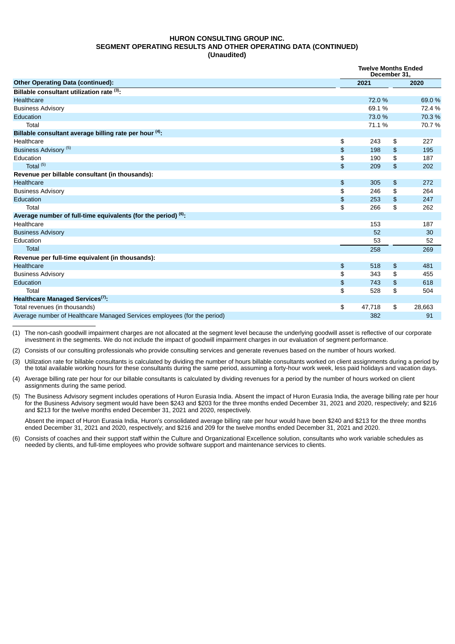#### **HURON CONSULTING GROUP INC. SEGMENT OPERATING RESULTS AND OTHER OPERATING DATA (CONTINUED) (Unaudited)**

|                                                                          |               | <b>Twelve Months Ended</b><br>December 31. |    |        |  |  |
|--------------------------------------------------------------------------|---------------|--------------------------------------------|----|--------|--|--|
| <b>Other Operating Data (continued):</b>                                 |               | 2021                                       |    | 2020   |  |  |
| Billable consultant utilization rate (3):                                |               |                                            |    |        |  |  |
| Healthcare                                                               |               | 72.0 %                                     |    | 69.0%  |  |  |
| <b>Business Advisory</b>                                                 |               | 69.1%                                      |    | 72.4 % |  |  |
| Education                                                                |               | 73.0 %                                     |    | 70.3 % |  |  |
| Total                                                                    |               | 71.1%                                      |    | 70.7%  |  |  |
| Billable consultant average billing rate per hour (4).                   |               |                                            |    |        |  |  |
| Healthcare                                                               | \$            | 243                                        | \$ | 227    |  |  |
| Business Advisory <sup>(5)</sup>                                         | \$            | 198                                        | \$ | 195    |  |  |
| Education                                                                | \$            | 190                                        | \$ | 187    |  |  |
| Total $(5)$                                                              | \$            | 209                                        | \$ | 202    |  |  |
| Revenue per billable consultant (in thousands):                          |               |                                            |    |        |  |  |
| Healthcare                                                               | $\frac{1}{2}$ | 305                                        | \$ | 272    |  |  |
| <b>Business Advisory</b>                                                 | \$            | 246                                        | \$ | 264    |  |  |
| Education                                                                | \$            | 253                                        | \$ | 247    |  |  |
| Total                                                                    | \$            | 266                                        | \$ | 262    |  |  |
| Average number of full-time equivalents (for the period) $(6)$ .         |               |                                            |    |        |  |  |
| Healthcare                                                               |               | 153                                        |    | 187    |  |  |
| <b>Business Advisory</b>                                                 |               | 52                                         |    | 30     |  |  |
| Education                                                                |               | 53                                         |    | 52     |  |  |
| Total                                                                    |               | 258                                        |    | 269    |  |  |
| Revenue per full-time equivalent (in thousands):                         |               |                                            |    |        |  |  |
| Healthcare                                                               | \$            | 518                                        | \$ | 481    |  |  |
| <b>Business Advisory</b>                                                 | \$            | 343                                        | \$ | 455    |  |  |
| Education                                                                | \$            | 743                                        | \$ | 618    |  |  |
| Total                                                                    | \$            | 528                                        | \$ | 504    |  |  |
| Healthcare Managed Services <sup>(7)</sup> :                             |               |                                            |    |        |  |  |
| Total revenues (in thousands)                                            | \$            | 47,718                                     | \$ | 28,663 |  |  |
| Average number of Healthcare Managed Services employees (for the period) |               | 382                                        |    | 91     |  |  |

(1) The non-cash goodwill impairment charges are not allocated at the segment level because the underlying goodwill asset is reflective of our corporate investment in the segments. We do not include the impact of goodwill impairment charges in our evaluation of segment performance.

(2) Consists of our consulting professionals who provide consulting services and generate revenues based on the number of hours worked.

(3) Utilization rate for billable consultants is calculated by dividing the number of hours billable consultants worked on client assignments during a period by the total available working hours for these consultants during the same period, assuming a forty-hour work week, less paid holidays and vacation days.

(4) Average billing rate per hour for our billable consultants is calculated by dividing revenues for a period by the number of hours worked on client assignments during the same period.

(5) The Business Advisory segment includes operations of Huron Eurasia India. Absent the impact of Huron Eurasia India, the average billing rate per hour for the Business Advisory segment would have been \$243 and \$203 for the three months ended December 31, 2021 and 2020, respectively; and \$216 and \$213 for the twelve months ended December 31, 2021 and 2020, respectively.

Absent the impact of Huron Eurasia India, Huron's consolidated average billing rate per hour would have been \$240 and \$213 for the three months ended December 31, 2021 and 2020, respectively; and \$216 and 209 for the twelve months ended December 31, 2021 and 2020.

(6) Consists of coaches and their support staff within the Culture and Organizational Excellence solution, consultants who work variable schedules as needed by clients, and full-time employees who provide software support and maintenance services to clients.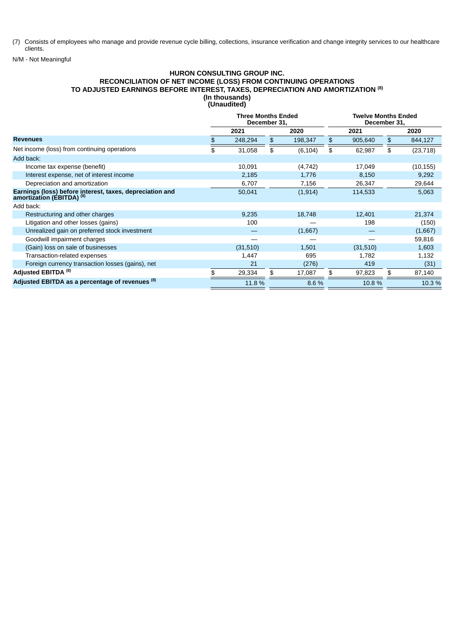(7) Consists of employees who manage and provide revenue cycle billing, collections, insurance verification and change integrity services to our healthcare clients.

N/M - Not Meaningful

#### **HURON CONSULTING GROUP INC. RECONCILIATION OF NET INCOME (LOSS) FROM CONTINUING OPERATIONS TO ADJUSTED EARNINGS BEFORE INTEREST, TAXES, DEPRECIATION AND AMORTIZATION (8) (In thousands) (Unaudited)**

|                                                                                                  | <b>Three Months Ended</b><br>December 31, |          |    | <b>Twelve Months Ended</b><br>December 31, |               |                 |
|--------------------------------------------------------------------------------------------------|-------------------------------------------|----------|----|--------------------------------------------|---------------|-----------------|
|                                                                                                  |                                           | 2021     |    | 2020                                       | 2021          | 2020            |
| <b>Revenues</b>                                                                                  | \$.                                       | 248,294  | \$ | 198,347                                    | \$<br>905,640 | \$<br>844,127   |
| Net income (loss) from continuing operations                                                     | \$                                        | 31,058   | \$ | (6, 104)                                   | \$<br>62,987  | \$<br>(23, 718) |
| Add back:                                                                                        |                                           |          |    |                                            |               |                 |
| Income tax expense (benefit)                                                                     |                                           | 10,091   |    | (4, 742)                                   | 17,049        | (10, 155)       |
| Interest expense, net of interest income                                                         |                                           | 2,185    |    | 1,776                                      | 8,150         | 9,292           |
| Depreciation and amortization                                                                    |                                           | 6,707    |    | 7,156                                      | 26,347        | 29,644          |
| Earnings (loss) before interest, taxes, depreciation and<br>amortization (EBITDA) <sup>(8)</sup> |                                           | 50,041   |    | (1, 914)                                   | 114,533       | 5,063           |
| Add back:                                                                                        |                                           |          |    |                                            |               |                 |
| Restructuring and other charges                                                                  |                                           | 9,235    |    | 18,748                                     | 12,401        | 21,374          |
| Litigation and other losses (gains)                                                              |                                           | 100      |    |                                            | 198           | (150)           |
| Unrealized gain on preferred stock investment                                                    |                                           |          |    | (1,667)                                    |               | (1,667)         |
| Goodwill impairment charges                                                                      |                                           |          |    |                                            |               | 59,816          |
| (Gain) loss on sale of businesses                                                                |                                           | (31,510) |    | 1,501                                      | (31,510)      | 1,603           |
| Transaction-related expenses                                                                     |                                           | 1,447    |    | 695                                        | 1,782         | 1,132           |
| Foreign currency transaction losses (gains), net                                                 |                                           | 21       |    | (276)                                      | 419           | (31)            |
| Adjusted EBITDA <sup>(8)</sup>                                                                   |                                           | 29,334   | \$ | 17,087                                     | \$<br>97,823  | \$<br>87,140    |
| Adjusted EBITDA as a percentage of revenues (8)                                                  |                                           | 11.8 %   |    | 8.6 %                                      | 10.8%         | 10.3 %          |